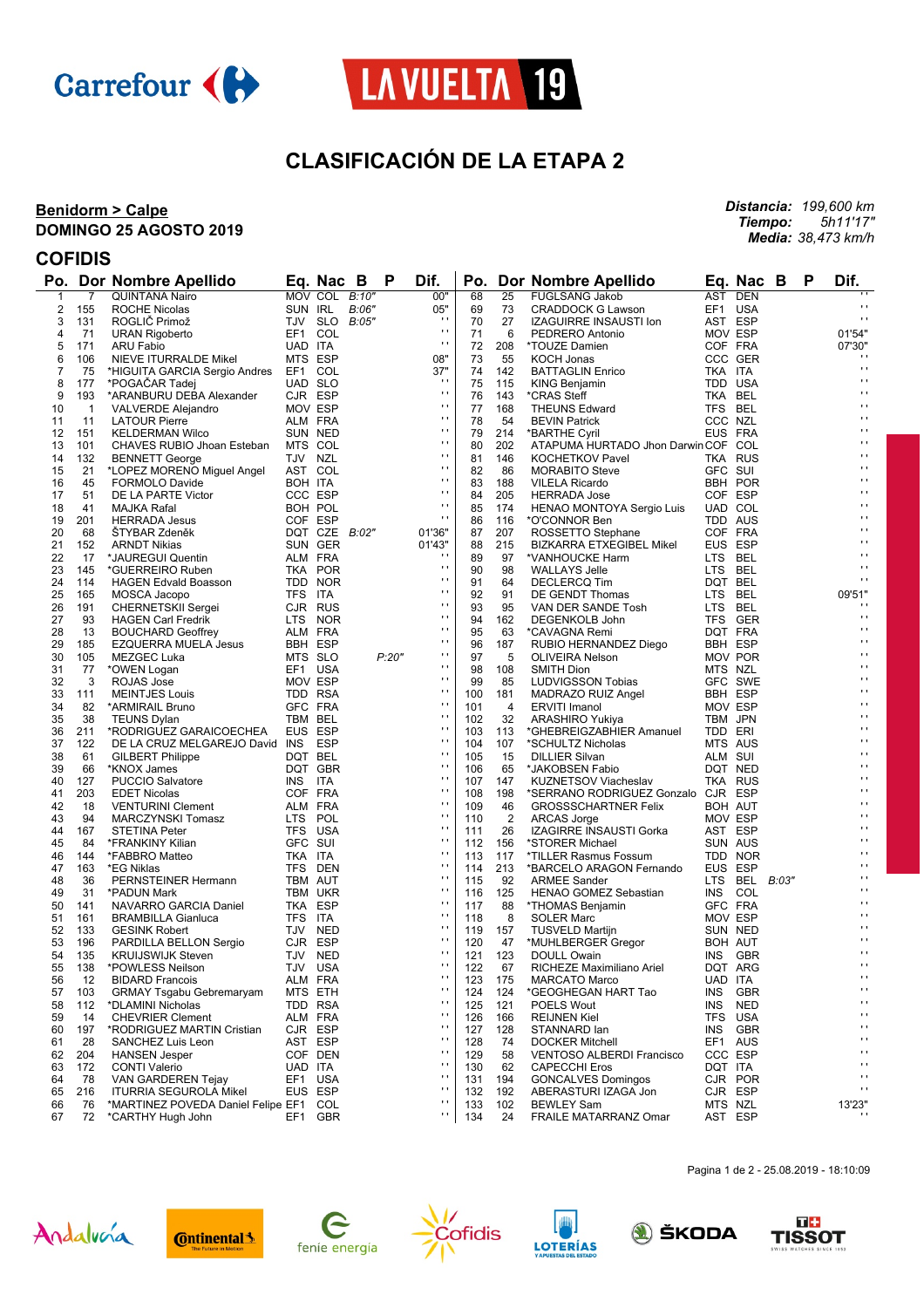



# **CLASIFICACIÓN DE LA ETAPA 2**

#### **Benidorm > Calpe DOMINGO 25 AGOSTO 2019**

*Distancia: 199,600 km Tiempo: 5h11'17" Media: 38,473 km/h*

### **COFIDIS**

|          |                | Po. Dor Nombre Apellido                                |         | Eq. Nac B     |               | P     | Dif.                           |            |                | Po. Dor Nombre Apellido                                    |         | Eq. Nac B       | P | Dif.                         |
|----------|----------------|--------------------------------------------------------|---------|---------------|---------------|-------|--------------------------------|------------|----------------|------------------------------------------------------------|---------|-----------------|---|------------------------------|
| 1        | $\overline{7}$ | <b>QUINTANA Nairo</b>                                  |         | MOV COL B:10" |               |       | 00"                            | 68         | 25             | <b>FUGLSANG Jakob</b>                                      | AST DEN |                 |   |                              |
| 2        | 155            | <b>ROCHE Nicolas</b>                                   | SUN IRL |               | B:06"         |       | 05"                            | 69         | 73             | <b>CRADDOCK G Lawson</b>                                   | EF1 USA |                 |   | $\mathbf{r}$                 |
| 3        | 131            | ROGLIĆ Primož                                          |         |               | TJV SLO B:05" |       | $\cdots$                       | 70         | 27             | IZAGUIRRE INSAUSTI Ion                                     | AST ESP |                 |   | $\sim$                       |
| 4        | 71             | <b>URAN Rigoberto</b>                                  | EF1 COL |               |               |       | $\mathbf{r}$                   | 71         | 6              | PEDRERO Antonio                                            | MOV ESP |                 |   | 01'54"                       |
| 5        | 171            | ARU Fabio                                              | UAD ITA |               |               |       | $\bar{\phantom{a}}$            | 72         | 208            | *TOUZE Damien                                              | COF FRA |                 |   | 07'30"                       |
| 6        | 106            | NIEVE ITURRALDE Mikel                                  | MTS ESP |               |               |       | 08"                            | 73         | 55             | <b>KOCH Jonas</b>                                          |         | CCC GER         |   |                              |
| 7        | 75             | *HIGUITA GARCIA Sergio Andres                          | EF1 COL |               |               |       | 37"                            | 74         | 142            | <b>BATTAGLIN Enrico</b>                                    | TKA ITA |                 |   | $\mathbf{r}$                 |
| 8        | 177            | *POGACAR Tadej                                         | UAD SLO |               |               |       | $\cdot$                        | 75         | 115            | KING Benjamin                                              | TDD USA |                 |   | $\mathbf{r}$                 |
| 9        | 193            | *ARANBURU DEBA Alexander                               | CJR ESP |               |               |       | $\mathbf{r}$                   | 76         | 143            | *CRAS Steff                                                | TKA BEL |                 |   | $\mathbf{r}$                 |
| 10       | $\mathbf 1$    | VALVERDE Alejandro                                     | MOV ESP |               |               |       | $\mathbf{r}$                   | 77         | 168            | THEUNS Edward                                              | TFS BEL |                 |   | $\mathbf{r}$                 |
| 11       | 11             | <b>LATOUR Pierre</b>                                   | ALM FRA |               |               |       | $\mathbf{r}$                   | 78         | 54             | <b>BEVIN Patrick</b>                                       | CCC NZL |                 |   | $\mathbf{r}$                 |
| 12       | 151            | <b>KELDERMAN Wilco</b>                                 |         | SUN NED       |               |       | $\blacksquare$                 | 79         | 214            | *BARTHE Cyril                                              | EUS FRA |                 |   | $\cdot$<br>$\mathbf{r}$      |
| 13       | 101            | CHAVES RUBIO Jhoan Esteban                             | MTS COL |               |               |       | $\mathbf{r}$                   | 80         | 202            | ATAPUMA HURTADO Jhon Darwin COF COL                        |         |                 |   |                              |
| 14       | 132            | <b>BENNETT George</b>                                  | TJV NZL |               |               |       | $\mathbf{r}$<br>$\blacksquare$ | 81         | 146            | <b>KOCHETKOV Pavel</b>                                     |         | TKA RUS         |   | $\mathbf{r}$<br>$\cdot$      |
| 15       | 21             | *LOPEZ MORENO Miguel Angel                             | AST COL |               |               |       | $\mathbf{r}$                   | 82         | 86             | <b>MORABITO Steve</b>                                      | GFC SUI |                 |   | $\mathbf{r}$                 |
| 16       | 45             | <b>FORMOLO Davide</b>                                  | BOH ITA |               |               |       | $\mathbf{r}$                   | 83         | 188            | <b>VILELA Ricardo</b>                                      |         | BBH POR         |   | $\mathbf{r}$                 |
| 17       | 51             | DE LA PARTE Victor                                     | CCC ESP |               |               |       | $\blacksquare$                 | 84         | 205            | <b>HERRADA Jose</b>                                        | COF ESP |                 |   | $\cdot$                      |
| 18       | 41             | MAJKA Rafal                                            | BOH POL |               |               |       | $\blacksquare$                 | 85         | 174            | HENAO MONTOYA Sergio Luis                                  | UAD COL |                 |   | $\mathbf{r}$                 |
| 19       | 201            | <b>HERRADA Jesus</b>                                   | COF ESP |               |               |       |                                | 86         | 116            | *O'CONNOR Ben                                              | TDD AUS |                 |   | $\mathbf{r}$                 |
| 20       | 68             | ŠTYBAR Zdeněk                                          |         |               | DQT CZE B:02" |       | 01'36"                         | 87         | 207            | ROSSETTO Stephane                                          | COF FRA |                 |   | $\mathbf{r}$                 |
| 21       | 152            | <b>ARNDT Nikias</b>                                    |         | SUN GER       |               |       | 01'43"<br>$\blacksquare$       | 88         | 215            | <b>BIZKARRA ETXEGIBEL Mikel</b>                            | EUS ESP |                 |   | $\mathbf{r}$                 |
| 22       | 17             | *JAUREGUI Quentin                                      | ALM FRA |               |               |       | $\mathbf{r}$                   | 89         | 97             | *VANHOUCKE Harm                                            | LTS BEL |                 |   | $\mathbf{r}$                 |
| 23       | 145            | *GUERREIRO Ruben                                       |         | TKA POR       |               |       | $\blacksquare$                 | 90         | 98             | <b>WALLAYS Jelle</b>                                       | LTS BEL |                 |   | $\mathbf{r}$                 |
| 24       | 114            | <b>HAGEN Edvald Boasson</b>                            |         | TDD NOR       |               |       | $\blacksquare$                 | 91         | 64<br>91       | <b>DECLERCQ Tim</b>                                        | DQT BEL |                 |   | 09'51"                       |
| 25       | 165            | MOSCA Jacopo                                           | TFS ITA |               |               |       | $\mathbf{r}$                   | 92         |                | DE GENDT Thomas                                            | LTS BEL |                 |   | $\cdots$                     |
| 26<br>27 | 191<br>93      | <b>CHERNETSKII Sergei</b><br><b>HAGEN Carl Fredrik</b> | CJR RUS | LTS NOR       |               |       | $\blacksquare$                 | 93<br>94   | 95<br>162      | VAN DER SANDE Tosh                                         | LTS BEL | TFS GER         |   | $\mathbf{r}$                 |
| 28       | 13             | <b>BOUCHARD Geoffrey</b>                               | ALM FRA |               |               |       | $\mathbf{r}$                   | 95         | 63             | DEGENKOLB John<br>*CAVAGNA Remi                            | DQT FRA |                 |   | $\mathbf{r}$                 |
| 29       | 185            | EZQUERRA MUELA Jesus                                   | BBH ESP |               |               |       | $\mathbf{r}$                   | 96         | 187            |                                                            | BBH ESP |                 |   | $\mathbf{r}$                 |
| 30       | 105            | MEZGEC Luka                                            | MTS SLO |               |               | P:20" | $\cdot$                        | 97         | 5              | RUBIO HERNANDEZ Diego<br><b>OLIVEIRA Nelson</b>            |         | MOV POR         |   | $\mathbf{r}$                 |
| 31       | 77             | *OWEN Logan                                            | EF1 USA |               |               |       | $\blacksquare$                 | 98         | 108            | <b>SMITH Dion</b>                                          | MTS NZL |                 |   | $\mathbf{r}$                 |
| 32       | 3              | ROJAS Jose                                             | MOV ESP |               |               |       | $\mathbf{r}$                   | 99         | 85             | LUDVIGSSON Tobias                                          |         | GFC SWE         |   | $\mathbf{r}$                 |
| 33       | 111            | <b>MEINTJES Louis</b>                                  | TDD RSA |               |               |       | $\mathbf{r}$                   | 100        | 181            | MADRAZO RUIZ Angel                                         | BBH ESP |                 |   | $\cdot$                      |
| 34       | 82             | *ARMIRAIL Bruno                                        | GFC FRA |               |               |       | $\blacksquare$                 | 101        | 4              | <b>ERVITI Imanol</b>                                       | MOV ESP |                 |   | $\mathbf{r}$                 |
| 35       | 38             | <b>TEUNS Dylan</b>                                     | TBM BEL |               |               |       | $\bar{\phantom{a}}$            | 102        | 32             | ARASHIRO Yukiya                                            | TBM JPN |                 |   | $\mathbf{r}$                 |
| 36       | 211            | *RODRIGUEZ GARAICOECHEA                                | EUS ESP |               |               |       | $\blacksquare$                 | 103        | 113            | *GHEBREIGZABHIER Amanuel                                   | TDD ERI |                 |   | $\mathbf{r}$                 |
| 37       | 122            | DE LA CRUZ MELGAREJO David INS ESP                     |         |               |               |       | $\blacksquare$                 | 104        | 107            | *SCHULTZ Nicholas                                          | MTS AUS |                 |   | $\mathbf{r}$                 |
| 38       | 61             | <b>GILBERT Philippe</b>                                | DQT BEL |               |               |       | $\bar{\phantom{a}}$            | 105        | 15             | <b>DILLIER Silvan</b>                                      | ALM SUI |                 |   | $\mathbf{r}$                 |
| 39       | 66             | *KNOX James                                            |         | DQT GBR       |               |       | $\blacksquare$                 | 106        | 65             | *JAKOBSEN Fabio                                            | DQT NED |                 |   | $\cdot$                      |
| 40       | 127            | <b>PUCCIO Salvatore</b>                                | INS ITA |               |               |       | $\blacksquare$                 | 107        | 147            | <b>KUZNETSOV Viacheslav</b>                                |         | TKA RUS         |   | $\mathbf{r}$                 |
| 41       | 203            | <b>EDET Nicolas</b>                                    | COF FRA |               |               |       | $\bar{\phantom{a}}$            | 108        | 198            | *SERRANO RODRIGUEZ Gonzalo CJR ESP                         |         |                 |   | $\mathbf{r}$                 |
| 42       | 18             | <b>VENTURINI Clement</b>                               | ALM FRA |               |               |       | $\blacksquare$                 | 109        | 46             | <b>GROSSSCHARTNER Felix</b>                                | BOH AUT |                 |   | $\cdot$                      |
| 43       | 94             | MARCZYNSKI Tomasz                                      | LTS POL |               |               |       | $\blacksquare$                 | 110        | $\overline{2}$ | <b>ARCAS Jorge</b>                                         | MOV ESP |                 |   | $\mathbf{r}$                 |
| 44       | 167            | <b>STETINA Peter</b>                                   | TFS USA |               |               |       | $\bar{\phantom{a}}$            | 111        | 26             | IZAGIRRE INSAUSTI Gorka                                    | AST ESP |                 |   | $\mathbf{r}$                 |
| 45       | 84             | *FRANKINY Kilian                                       | GFC SUI |               |               |       | $\cdot$                        | 112        | 156            | *STORER Michael                                            | SUN AUS |                 |   | $\mathbf{r}$                 |
| 46       | 144            | *FABBRO Matteo                                         | TKA ITA |               |               |       | $\blacksquare$                 | 113        | 117            | *TILLER Rasmus Fossum                                      |         | TDD NOR         |   | $\mathbf{r}$                 |
| 47       | 163            | *EG Niklas                                             |         | TFS DEN       |               |       | $\bar{\phantom{a}}$            | 114        | 213            | *BARCELO ARAGON Fernando                                   | EUS ESP |                 |   | $\mathbf{r}$                 |
| 48       | 36             | PERNSTEINER Hermann                                    | TBM AUT |               |               |       | $\cdot$                        | 115        | 92             | <b>ARMEE Sander</b>                                        |         | LTS BEL $B:03"$ |   | $\cdot$                      |
| 49       | 31             | *PADUN Mark                                            |         | TBM UKR       |               |       | $\mathbf{r}$                   | 116        | 125            | HENAO GOMEZ Sebastian                                      | INS COL |                 |   | $\mathbf{r}$                 |
| 50       | 141            | NAVARRO GARCIA Daniel                                  | TKA ESP |               |               |       | $\bar{\phantom{a}}$            | 117        | 88             | *THOMAS Benjamin                                           | GFC FRA |                 |   | $\mathbf{r}$                 |
| 51       | 161            | <b>BRAMBILLA Gianluca</b>                              | TFS ITA |               |               |       | $\cdot$                        | 118        | 8              | <b>SOLER Marc</b>                                          | MOV ESP |                 |   | $\cdot$                      |
| 52       | 133            | <b>GESINK Robert</b>                                   | TJV NED |               |               |       | $\mathbf{r}$<br>$\mathbf{r}$   | 119        | 157            | <b>TUSVELD Martijn</b>                                     | SUN NED |                 |   | $\mathbf{r}$<br>$\mathbf{r}$ |
| 53       | 196            | PARDILLA BELLON Sergio                                 | CJR ESP |               |               |       | $\mathbf{r}$                   | 120        | 47             | *MUHLBERGER Gregor                                         | BOH AUT |                 |   | $\mathbf{r}$                 |
| 54       | 135            | <b>KRUIJSWIJK Steven</b>                               |         | TJV NED       |               |       | $\mathbf{r}$                   | 121        | 123            | DOULL Owain                                                |         | INS GBR         |   | $\cdot$                      |
| 55       | 138            | *POWLESS Neilson                                       | TJV USA |               |               |       | $\mathbf{r}$                   | 122        | 67             | RICHEZE Maximiliano Ariel                                  |         | DQT ARG         |   | $\mathbf{r}$                 |
| 56       | 12             | <b>BIDARD Francois</b>                                 | ALM FRA |               |               |       | $\mathbf{r}$                   | 123        | 175            | <b>MARCATO Marco</b>                                       | UAD ITA |                 |   | $\mathbf{r}$                 |
| 57       | 103            | <b>GRMAY Tsgabu Gebremaryam</b>                        | MTS ETH |               |               |       | $\mathbf{r}$                   | 124        | 124            | *GEOGHEGAN HART Tao                                        | INS     | GBR             |   | $\mathbf{r}$                 |
| 58       | 112            | *DLAMINI Nicholas                                      |         | TDD RSA       |               |       | $\blacksquare$                 | 125        | 121            | POELS Wout                                                 |         | INS NED         |   | $\blacksquare$               |
| 59       | 14             | <b>CHEVRIER Clement</b>                                | ALM FRA |               |               |       | $\blacksquare$                 | 126        | 166            | <b>REIJNEN Kiel</b>                                        |         | TFS USA         |   | $\mathbf{r}$                 |
| 60       | 197            | *RODRIGUEZ MARTIN Cristian                             | CJR ESP |               |               |       | $\mathbf{r}$                   | 127        | 128            | STANNARD lan                                               | INS     | GBR             |   | $\mathbf{r}$                 |
| 61<br>62 | 28<br>204      | SANCHEZ Luis Leon<br><b>HANSEN Jesper</b>              | AST ESP | COF DEN       |               |       | $\blacksquare$                 | 128<br>129 | 74<br>58       | <b>DOCKER Mitchell</b><br><b>VENTOSO ALBERDI Francisco</b> | CCC ESP | EF1 AUS         |   | $\blacksquare$               |
| 63       | 172            | <b>CONTI Valerio</b>                                   | UAD ITA |               |               |       | $\blacksquare$                 | 130        | 62             | <b>CAPECCHI Eros</b>                                       | DQT ITA |                 |   | $\mathbf{r}$                 |
| 64       | 78             | VAN GARDEREN Tejay                                     |         | EF1 USA       |               |       | $\blacksquare$                 | 131        | 194            | <b>GONCALVES Domingos</b>                                  |         | CJR POR         |   | $\mathbf{r}$                 |
| 65       | 216            | <b>ITURRIA SEGUROLA Mikel</b>                          | EUS ESP |               |               |       | $\blacksquare$                 | 132        | 192            | ABERASTURI IZAGA Jon                                       | CJR ESP |                 |   | $\mathbf{r}$                 |
| 66       | 76             | *MARTINEZ POVEDA Daniel Felipe EF1                     |         | COL           |               |       | $\blacksquare$                 | 133        | 102            | <b>BEWLEY Sam</b>                                          | MTS NZL |                 |   | 13'23"                       |
| 67       | 72             | *CARTHY Hugh John                                      | EF1     | GBR           |               |       | $\blacksquare$                 | 134        | 24             | FRAILE MATARRANZ Omar                                      |         | AST ESP         |   | $\mathbf{r}$                 |















Pagina 1 de 2 - 25.08.2019 - 18:10:09